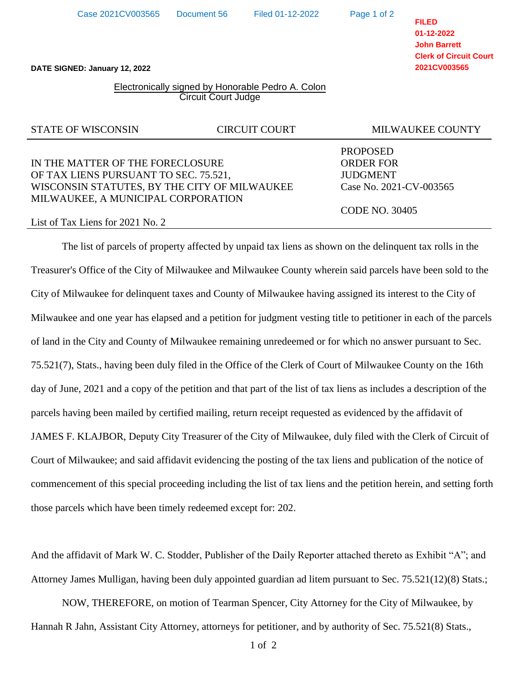NOW, THEREFORE, on motion of Tearman Spencer, City Attorney for the City of Milwaukee, by

Hannah R Jahn, Assistant City Attorney, attorneys for petitioner, and by authority of Sec. 75.521(8) Stats.,

And the affidavit of Mark W. C. Stodder, Publisher of the Daily Reporter attached thereto as Exhibit "A"; and

# **DATE SIGNED: January 12, 2022**

### Electronically signed by Honorable Pedro A. Colon Circuit Court Judge

### STATE OF WISCONSIN CIRCUIT COURT THE MILWAUKEE COUNTY

## IN THE MATTER OF THE FORECLOSURE ORDER FOR OF TAX LIENS PURSUANT TO SEC. 75.521, JUDGMENT WISCONSIN STATUTES, BY THE CITY OF MILWAUKEE Case No. 2021-CV-003565 MILWAUKEE, A MUNICIPAL CORPORATION

### List of Tax Liens for 2021 No. 2

The list of parcels of property affected by unpaid tax liens as shown on the delinquent tax rolls in the Treasurer's Office of the City of Milwaukee and Milwaukee County wherein said parcels have been sold to the City of Milwaukee for delinquent taxes and County of Milwaukee having assigned its interest to the City of Milwaukee and one year has elapsed and a petition for judgment vesting title to petitioner in each of the parcels of land in the City and County of Milwaukee remaining unredeemed or for which no answer pursuant to Sec. 75.521(7), Stats., having been duly filed in the Office of the Clerk of Court of Milwaukee County on the 16th day of June, 2021 and a copy of the petition and that part of the list of tax liens as includes a description of the parcels having been mailed by certified mailing, return receipt requested as evidenced by the affidavit of JAMES F. KLAJBOR, Deputy City Treasurer of the City of Milwaukee, duly filed with the Clerk of Circuit of Court of Milwaukee; and said affidavit evidencing the posting of the tax liens and publication of the notice of commencement of this special proceeding including the list of tax liens and the petition herein, and setting forth those parcels which have been timely redeemed except for: 202.

**FILED 01-12-2022 John Barrett**

**Clerk of Circuit Court 2021CV003565**

PROPOSED

CODE NO. 30405

Page 1 of 2